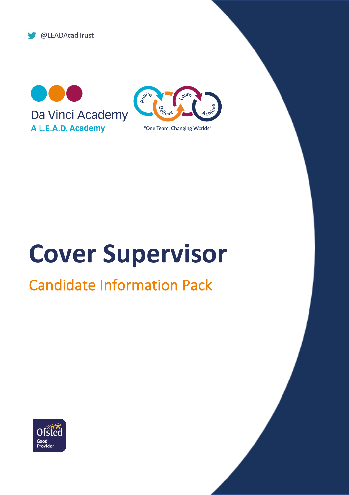@LEADAcadTrust





# **Cover Supervisor**

## Candidate Information Pack

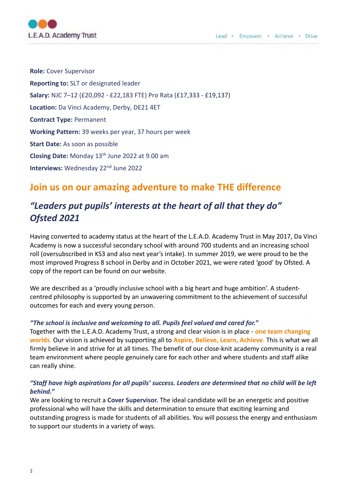

**Role:** Cover Supervisor **Reporting to:** SLT or designated leader **Salary:** NJC 7–12 (£20,092 - £22,183 FTE) Pro Rata (£17,333 - £19,137) **Location:** Da Vinci Academy, Derby, DE21 4ET **Contract Type:** Permanent **Working Pattern:** 39 weeks per year, 37 hours per week **Start Date:** As soon as possible **Closing Date:** Monday 13th June 2022 at 9.00 am **Interviews:** Wednesday 22<sup>nd</sup> June 2022

## **Join us on our amazing adventure to make THE difference**

## *"Leaders put pupils' interests at the heart of all that they do" Ofsted 2021*

Having converted to academy status at the heart of the L.E.A.D. Academy Trust in May 2017, Da Vinci Academy is now a successful secondary school with around 700 students and an increasing school roll (oversubscribed in KS3 and also next year's intake). In summer 2019, we were proud to be the most improved Progress 8 school in Derby and in October 2021, we were rated 'good' by Ofsted. A copy of the report can be found on our website.

We are described as a 'proudly inclusive school with a big heart and huge ambition'. A studentcentred philosophy is supported by an unwavering commitment to the achievement of successful outcomes for each and every young person.

#### *"The school is inclusive and welcoming to all. Pupils feel valued and cared for."*

Together with the L.E.A.D. Academy Trust, a strong and clear vision is in place - **one team changing worlds**. Our vision is achieved by supporting all to **Aspire, Believe, Learn, Achieve**. This is what we all firmly believe in and strive for at all times. The benefit of our close-knit academy community is a real team environment where people genuinely care for each other and where students and staff alike can really shine.

### *"Staff have high aspirations for all pupils' success. Leaders are determined that no child will be left behind."*

We are looking to recruit a **Cover Supervisor.** The ideal candidate will be an energetic and positive professional who will have the skills and determination to ensure that exciting learning and outstanding progress is made for students of all abilities. You will possess the energy and enthusiasm to support our students in a variety of ways.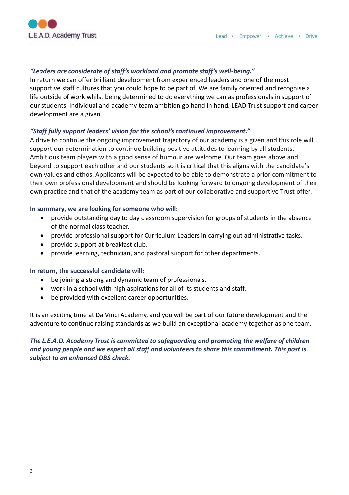

#### *"Leaders are considerate of staff's workload and promote staff's well-being."*

In return we can offer brilliant development from experienced leaders and one of the most supportive staff cultures that you could hope to be part of. We are family oriented and recognise a life outside of work whilst being determined to do everything we can as professionals in support of our students. Individual and academy team ambition go hand in hand. LEAD Trust support and career development are a given.

### *"Staff fully support leaders' vision for the school's continued improvement."*

A drive to continue the ongoing improvement trajectory of our academy is a given and this role will support our determination to continue building positive attitudes to learning by all students. Ambitious team players with a good sense of humour are welcome. Our team goes above and beyond to support each other and our students so it is critical that this aligns with the candidate's own values and ethos. Applicants will be expected to be able to demonstrate a prior commitment to their own professional development and should be looking forward to ongoing development of their own practice and that of the academy team as part of our collaborative and supportive Trust offer.

#### **In summary, we are looking for someone who will:**

- provide outstanding day to day classroom supervision for groups of students in the absence of the normal class teacher.
- provide professional support for Curriculum Leaders in carrying out administrative tasks.
- provide support at breakfast club.
- provide learning, technician, and pastoral support for other departments.

#### **In return, the successful candidate will:**

- be joining a strong and dynamic team of professionals.
- work in a school with high aspirations for all of its students and staff.
- be provided with excellent career opportunities.

It is an exciting time at Da Vinci Academy, and you will be part of our future development and the adventure to continue raising standards as we build an exceptional academy together as one team.

## *The L.E.A.D. Academy Trust is committed to safeguarding and promoting the welfare of children and young people and we expect all staff and volunteers to share this commitment. This post is subject to an enhanced DBS check.*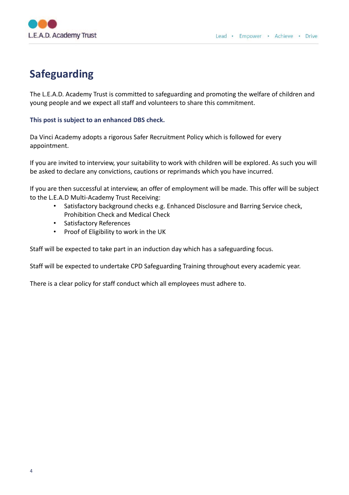

## **Safeguarding**

The L.E.A.D. Academy Trust is committed to safeguarding and promoting the welfare of children and young people and we expect all staff and volunteers to share this commitment.

### **This post is subject to an enhanced DBS check.**

Da Vinci Academy adopts a rigorous Safer Recruitment Policy which is followed for every appointment.

If you are invited to interview, your suitability to work with children will be explored. As such you will be asked to declare any convictions, cautions or reprimands which you have incurred.

If you are then successful at interview, an offer of employment will be made. This offer will be subject to the L.E.A.D Multi-Academy Trust Receiving:

- Satisfactory background checks e.g. Enhanced Disclosure and Barring Service check, Prohibition Check and Medical Check
- Satisfactory References
- Proof of Eligibility to work in the UK

Staff will be expected to take part in an induction day which has a safeguarding focus.

Staff will be expected to undertake CPD Safeguarding Training throughout every academic year.

There is a clear policy for staff conduct which all employees must adhere to.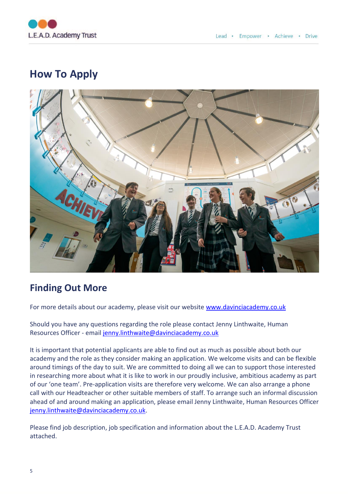

## **How To Apply**



## **Finding Out More**

For more details about our academy, please visit our website [www.davinciacademy.co.uk](http://www.davinciacademy.co.uk/)

Should you have any questions regarding the role please contact Jenny Linthwaite, Human Resources Officer - email [jenny.linthwaite@davinciacademy.co.uk](mailto:jenny.linthwaite@davinciacademy.co.uk)

It is important that potential applicants are able to find out as much as possible about both our academy and the role as they consider making an application. We welcome visits and can be flexible around timings of the day to suit. We are committed to doing all we can to support those interested in researching more about what it is like to work in our proudly inclusive, ambitious academy as part of our 'one team'. Pre-application visits are therefore very welcome. We can also arrange a phone call with our Headteacher or other suitable members of staff. To arrange such an informal discussion ahead of and around making an application, please email Jenny Linthwaite, Human Resources Officer [jenny.linthwaite@davinciacademy.co.uk.](mailto:jenny.linthwaite@davinciacademy.co.uk)

Please find job description, job specification and information about the L.E.A.D. Academy Trust attached.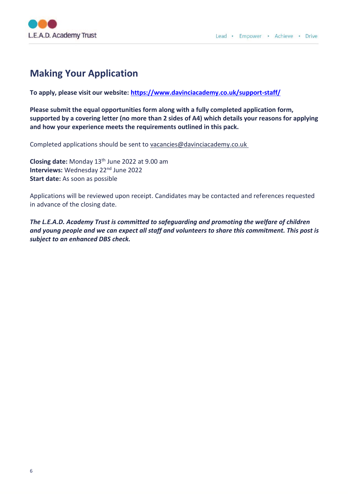

## **Making Your Application**

**To apply, please visit our website:<https://www.davinciacademy.co.uk/support-staff/>**

**Please submit the equal opportunities form along with a fully completed application form, supported by a covering letter (no more than 2 sides of A4) which details your reasons for applying and how your experience meets the requirements outlined in this pack.**

Completed applications should be sent to vacancies@davinciacademy.co.uk

**Closing date:** Monday 13th June 2022 at 9.00 am **Interviews: Wednesday 22<sup>nd</sup> June 2022 Start date:** As soon as possible

Applications will be reviewed upon receipt. Candidates may be contacted and references requested in advance of the closing date.

*The L.E.A.D. Academy Trust is committed to safeguarding and promoting the welfare of children and young people and we can expect all staff and volunteers to share this commitment. This post is subject to an enhanced DBS check.*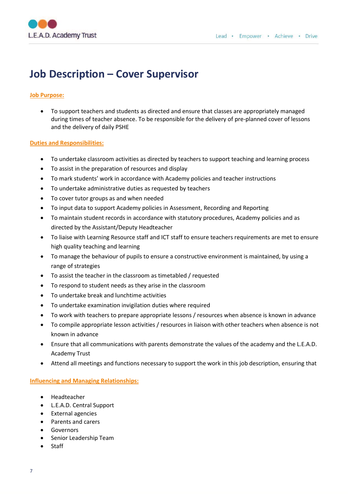

## **Job Description – Cover Supervisor**

#### **Job Purpose:**

• To support teachers and students as directed and ensure that classes are appropriately managed during times of teacher absence. To be responsible for the delivery of pre-planned cover of lessons and the delivery of daily PSHE

#### **Duties and Responsibilities:**

- To undertake classroom activities as directed by teachers to support teaching and learning process
- To assist in the preparation of resources and display
- To mark students' work in accordance with Academy policies and teacher instructions
- To undertake administrative duties as requested by teachers
- To cover tutor groups as and when needed
- To input data to support Academy policies in Assessment, Recording and Reporting
- To maintain student records in accordance with statutory procedures, Academy policies and as directed by the Assistant/Deputy Headteacher
- To liaise with Learning Resource staff and ICT staff to ensure teachers requirements are met to ensure high quality teaching and learning
- To manage the behaviour of pupils to ensure a constructive environment is maintained, by using a range of strategies
- To assist the teacher in the classroom as timetabled / requested
- To respond to student needs as they arise in the classroom
- To undertake break and lunchtime activities
- To undertake examination invigilation duties where required
- To work with teachers to prepare appropriate lessons / resources when absence is known in advance
- To compile appropriate lesson activities / resources in liaison with other teachers when absence is not known in advance
- Ensure that all communications with parents demonstrate the values of the academy and the L.E.A.D. Academy Trust
- Attend all meetings and functions necessary to support the work in this job description, ensuring that

#### **Influencing and Managing Relationships:**

- Headteacher
- L.E.A.D. Central Support
- External agencies
- Parents and carers
- **Governors**
- Senior Leadership Team
- **Staff**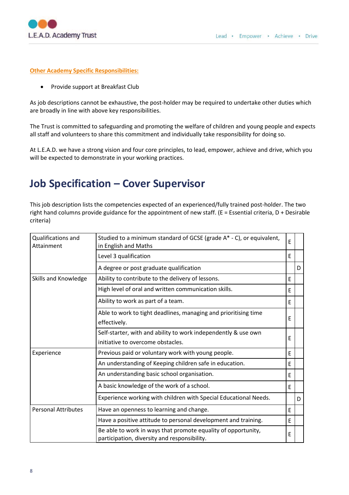

#### **Other Academy Specific Responsibilities:**

• Provide support at Breakfast Club

As job descriptions cannot be exhaustive, the post-holder may be required to undertake other duties which are broadly in line with above key responsibilities.

The Trust is committed to safeguarding and promoting the welfare of children and young people and expects all staff and volunteers to share this commitment and individually take responsibility for doing so.

At L.E.A.D. we have a strong vision and four core principles, to lead, empower, achieve and drive, which you will be expected to demonstrate in your working practices.

## **Job Specification – Cover Supervisor**

This job description lists the competencies expected of an experienced/fully trained post-holder. The two right hand columns provide guidance for the appointment of new staff. (E = Essential criteria, D + Desirable criteria)

| <b>Qualifications and</b><br>Attainment | Studied to a minimum standard of GCSE (grade A* - C), or equivalent,<br>in English and Maths                  | E |   |
|-----------------------------------------|---------------------------------------------------------------------------------------------------------------|---|---|
|                                         | Level 3 qualification                                                                                         | E |   |
|                                         | A degree or post graduate qualification                                                                       |   | D |
| Skills and Knowledge                    | Ability to contribute to the delivery of lessons.                                                             | F |   |
|                                         | High level of oral and written communication skills.                                                          | E |   |
|                                         | Ability to work as part of a team.                                                                            | F |   |
|                                         | Able to work to tight deadlines, managing and prioritising time<br>effectively.                               | E |   |
|                                         | Self-starter, with and ability to work independently & use own<br>initiative to overcome obstacles.           | E |   |
| Experience                              | Previous paid or voluntary work with young people.                                                            | F |   |
|                                         | An understanding of Keeping children safe in education.                                                       | F |   |
|                                         | An understanding basic school organisation.                                                                   | E |   |
|                                         | A basic knowledge of the work of a school.                                                                    | F |   |
|                                         | Experience working with children with Special Educational Needs.                                              |   | D |
| <b>Personal Attributes</b>              | Have an openness to learning and change.                                                                      | E |   |
|                                         | Have a positive attitude to personal development and training.                                                | F |   |
|                                         | Be able to work in ways that promote equality of opportunity,<br>participation, diversity and responsibility. | E |   |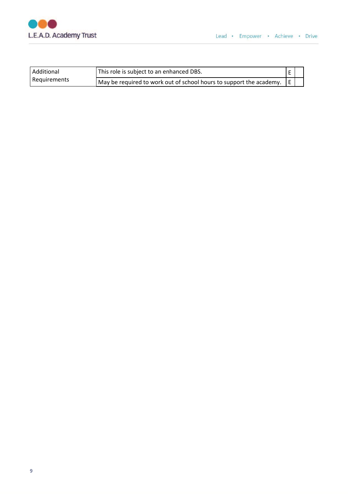

| Additional   | <sup>1</sup> This role is subject to an enhanced DBS.                 |  |
|--------------|-----------------------------------------------------------------------|--|
| Requirements | May be required to work out of school hours to support the academy. E |  |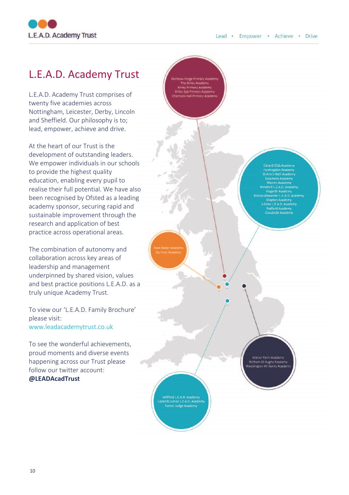

## L.E.A.D. Academy Trust

L.E.A.D. Academy Trust comprises of twenty five academies across Nottingham, Leicester, Derby, Lincoln and Sheffield. Our philosophy is to; lead, empower, achieve and drive.

At the heart of our Trust is the development of outstanding leaders. We empower individuals in our schools to provide the highest quality education, enabling every pupil to realise their full potential. We have also been recognised by Ofsted as a leading academy sponsor, securing rapid and sustainable improvement through the research and application of best practice across operational areas.

The combination of autonomy and collaboration across key areas of leadership and management underpinned by shared vision, values and best practice positions L.E.A.D. as a truly unique Academy Trust.

To view our 'L.E.A.D. Family Brochure' please visit: www.leadacademytrust.co.uk

To see the wonderful achievements, proud moments and diverse events happening across our Trust please follow our twitter account: **@LEADAcadTrust**

Edna G Olds Academy 's Well Acade ill L.E.A.D. Acad der LEAD.A ee L.E.A.D. Acad dside Acad

Witham St Hughs Acad

ield L.E.A.D. Acad L.C.A.D. Academ<br>ior L.E.A.D. Acad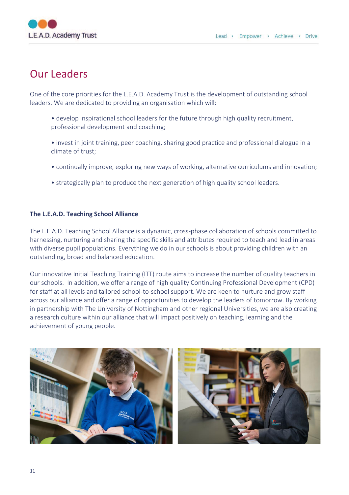

## Our Leaders

One of the core priorities for the L.E.A.D. Academy Trust is the development of outstanding school leaders. We are dedicated to providing an organisation which will:

- develop inspirational school leaders for the future through high quality recruitment, professional development and coaching;
- invest in joint training, peer coaching, sharing good practice and professional dialogue in a climate of trust;
- continually improve, exploring new ways of working, alternative curriculums and innovation;
- strategically plan to produce the next generation of high quality school leaders.

#### **The L.E.A.D. Teaching School Alliance**

The L.E.A.D. Teaching School Alliance is a dynamic, cross-phase collaboration of schools committed to harnessing, nurturing and sharing the specific skills and attributes required to teach and lead in areas with diverse pupil populations. Everything we do in our schools is about providing children with an outstanding, broad and balanced education.

Our innovative Initial Teaching Training (ITT) route aims to increase the number of quality teachers in our schools. In addition, we offer a range of high quality Continuing Professional Development (CPD) for staff at all levels and tailored school-to-school support. We are keen to nurture and grow staff across our alliance and offer a range of opportunities to develop the leaders of tomorrow. By working in partnership with The University of Nottingham and other regional Universities, we are also creating a research culture within our alliance that will impact positively on teaching, learning and the achievement of young people.

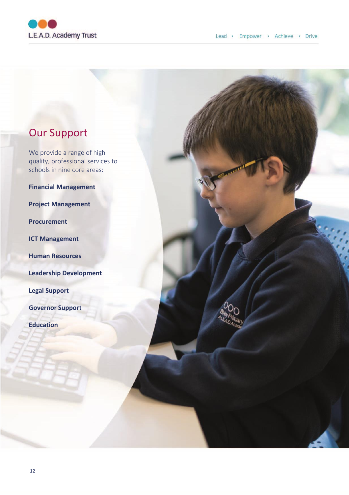

## Our Support

We provide a range of high quality, professional services to schools in nine core areas:

**Financial Management**

**Project Management**

**Procurement**

**ICT Management**

**Human Resources**

**Leadership Development**

**Legal Support**

**Governor Support**

**Education**